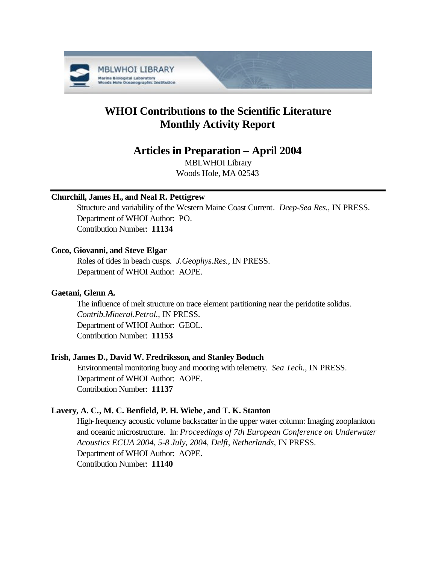

# **WHOI Contributions to the Scientific Literature Monthly Activity Report**

# **Articles in Preparation – April 2004**

MBLWHOI Library Woods Hole, MA 02543

# **Churchill, James H., and Neal R. Pettigrew**

Structure and variability of the Western Maine Coast Current. *Deep-Sea Res.*, IN PRESS. Department of WHOI Author: PO. Contribution Number: **11134**

# **Coco, Giovanni, and Steve Elgar**

Roles of tides in beach cusps. *J.Geophys.Res.*, IN PRESS. Department of WHOI Author: AOPE.

# **Gaetani, Glenn A.**

The influence of melt structure on trace element partitioning near the peridotite solidus. *Contrib.Mineral.Petrol.*, IN PRESS. Department of WHOI Author: GEOL. Contribution Number: **11153**

# **Irish, James D., David W. Fredriksson, and Stanley Boduch**

Environmental monitoring buoy and mooring with telemetry. *Sea Tech.*, IN PRESS. Department of WHOI Author: AOPE. Contribution Number: **11137**

### **Lavery, A. C., M. C. Benfield, P. H. Wiebe, and T. K. Stanton**

High-frequency acoustic volume backscatter in the upper water column: Imaging zooplankton and oceanic microstructure. In: *Proceedings of 7th European Conference on Underwater Acoustics ECUA 2004, 5-8 July, 2004, Delft, Netherlands*, IN PRESS. Department of WHOI Author: AOPE. Contribution Number: **11140**